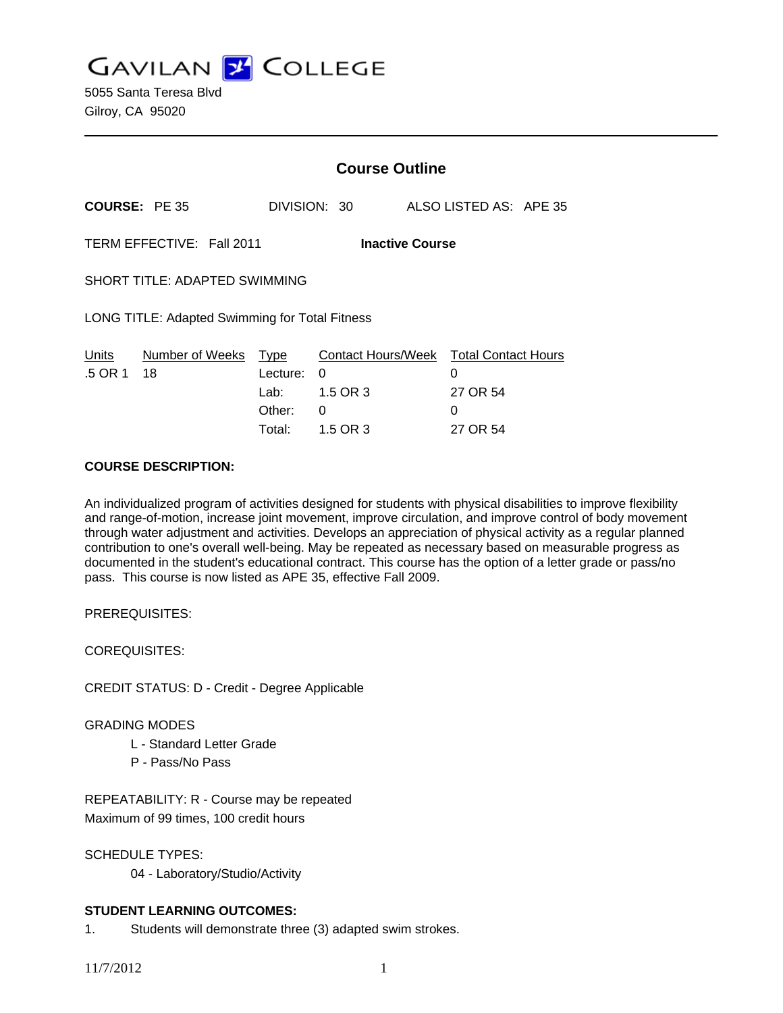**GAVILAN Z COLLEGE** 

|                                                     |                       | <b>Course Outline</b>                               |                                                             |  |                                                              |  |
|-----------------------------------------------------|-----------------------|-----------------------------------------------------|-------------------------------------------------------------|--|--------------------------------------------------------------|--|
| <b>COURSE: PE 35</b>                                |                       |                                                     | DIVISION: 30                                                |  | ALSO LISTED AS: APE 35                                       |  |
| TERM EFFECTIVE: Fall 2011<br><b>Inactive Course</b> |                       |                                                     |                                                             |  |                                                              |  |
| <b>SHORT TITLE: ADAPTED SWIMMING</b>                |                       |                                                     |                                                             |  |                                                              |  |
| LONG TITLE: Adapted Swimming for Total Fitness      |                       |                                                     |                                                             |  |                                                              |  |
| Units<br>.5 OR 1                                    | Number of Weeks<br>18 | <u>Type</u><br>Lecture:<br>Lab:<br>Other:<br>Total: | <b>Contact Hours/Week</b><br>0<br>1.5 OR 3<br>0<br>1.5 OR 3 |  | <b>Total Contact Hours</b><br>0<br>27 OR 54<br>0<br>27 OR 54 |  |

### **COURSE DESCRIPTION:**

An individualized program of activities designed for students with physical disabilities to improve flexibility and range-of-motion, increase joint movement, improve circulation, and improve control of body movement through water adjustment and activities. Develops an appreciation of physical activity as a regular planned contribution to one's overall well-being. May be repeated as necessary based on measurable progress as documented in the student's educational contract. This course has the option of a letter grade or pass/no pass. This course is now listed as APE 35, effective Fall 2009.

PREREQUISITES:

COREQUISITES:

CREDIT STATUS: D - Credit - Degree Applicable

### GRADING MODES

- L Standard Letter Grade
- P Pass/No Pass

REPEATABILITY: R - Course may be repeated Maximum of 99 times, 100 credit hours

SCHEDULE TYPES:

04 - Laboratory/Studio/Activity

## **STUDENT LEARNING OUTCOMES:**

1. Students will demonstrate three (3) adapted swim strokes.

11/7/2012 1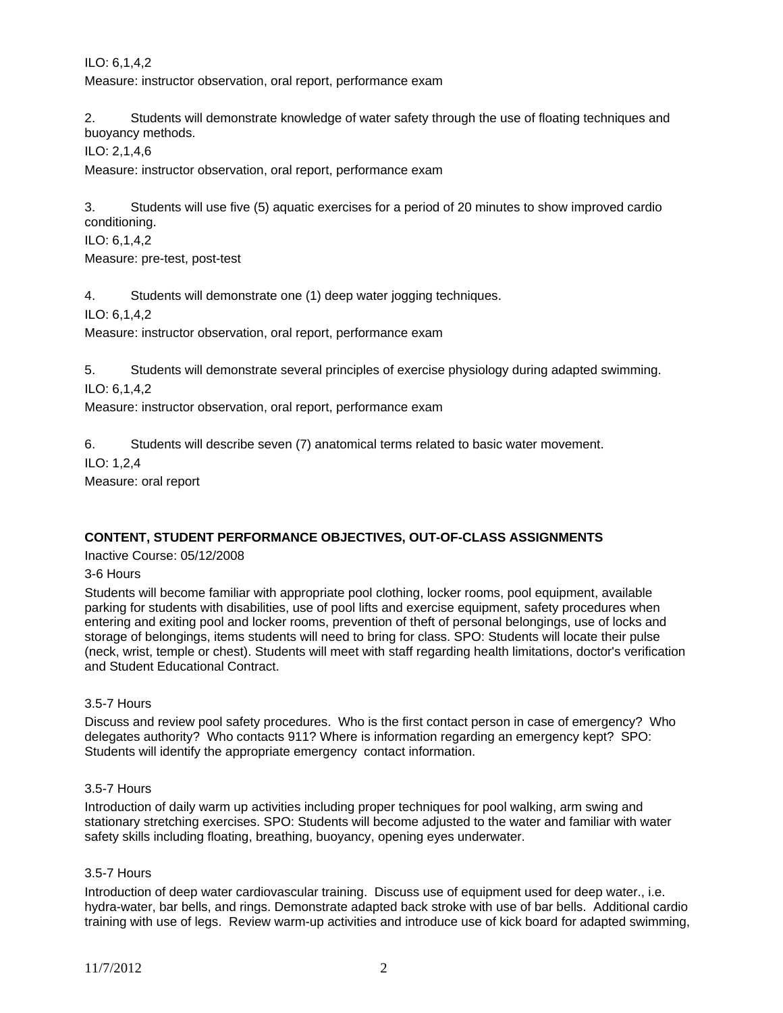ILO: 6,1,4,2 Measure: instructor observation, oral report, performance exam

2. Students will demonstrate knowledge of water safety through the use of floating techniques and buoyancy methods.

ILO: 2,1,4,6

Measure: instructor observation, oral report, performance exam

3. Students will use five (5) aquatic exercises for a period of 20 minutes to show improved cardio conditioning.

ILO: 6,1,4,2

Measure: pre-test, post-test

4. Students will demonstrate one (1) deep water jogging techniques.

ILO: 6,1,4,2

Measure: instructor observation, oral report, performance exam

5. Students will demonstrate several principles of exercise physiology during adapted swimming.

ILO: 6,1,4,2

Measure: instructor observation, oral report, performance exam

6. Students will describe seven (7) anatomical terms related to basic water movement.

ILO: 1,2,4

Measure: oral report

## **CONTENT, STUDENT PERFORMANCE OBJECTIVES, OUT-OF-CLASS ASSIGNMENTS**

Inactive Course: 05/12/2008

### 3-6 Hours

Students will become familiar with appropriate pool clothing, locker rooms, pool equipment, available parking for students with disabilities, use of pool lifts and exercise equipment, safety procedures when entering and exiting pool and locker rooms, prevention of theft of personal belongings, use of locks and storage of belongings, items students will need to bring for class. SPO: Students will locate their pulse (neck, wrist, temple or chest). Students will meet with staff regarding health limitations, doctor's verification and Student Educational Contract.

## 3.5-7 Hours

Discuss and review pool safety procedures. Who is the first contact person in case of emergency? Who delegates authority? Who contacts 911? Where is information regarding an emergency kept? SPO: Students will identify the appropriate emergency contact information.

### 3.5-7 Hours

Introduction of daily warm up activities including proper techniques for pool walking, arm swing and stationary stretching exercises. SPO: Students will become adjusted to the water and familiar with water safety skills including floating, breathing, buoyancy, opening eyes underwater.

### 3.5-7 Hours

Introduction of deep water cardiovascular training. Discuss use of equipment used for deep water., i.e. hydra-water, bar bells, and rings. Demonstrate adapted back stroke with use of bar bells. Additional cardio training with use of legs. Review warm-up activities and introduce use of kick board for adapted swimming,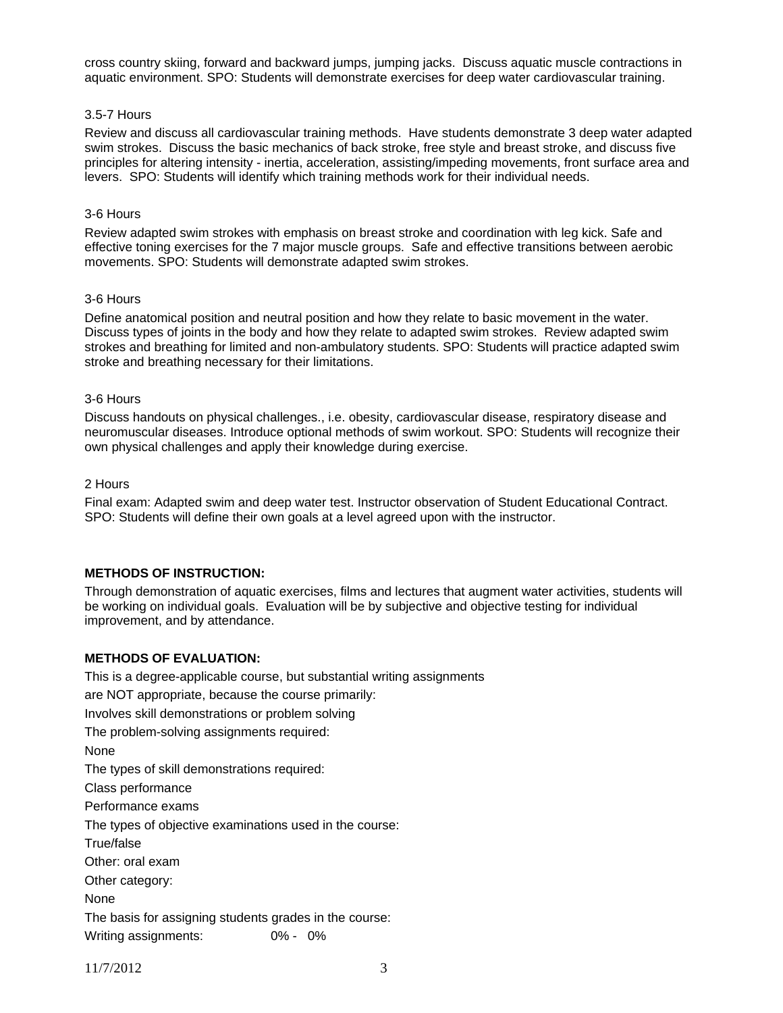cross country skiing, forward and backward jumps, jumping jacks. Discuss aquatic muscle contractions in aquatic environment. SPO: Students will demonstrate exercises for deep water cardiovascular training.

#### 3.5-7 Hours

Review and discuss all cardiovascular training methods. Have students demonstrate 3 deep water adapted swim strokes. Discuss the basic mechanics of back stroke, free style and breast stroke, and discuss five principles for altering intensity - inertia, acceleration, assisting/impeding movements, front surface area and levers. SPO: Students will identify which training methods work for their individual needs.

#### 3-6 Hours

Review adapted swim strokes with emphasis on breast stroke and coordination with leg kick. Safe and effective toning exercises for the 7 major muscle groups. Safe and effective transitions between aerobic movements. SPO: Students will demonstrate adapted swim strokes.

#### 3-6 Hours

Define anatomical position and neutral position and how they relate to basic movement in the water. Discuss types of joints in the body and how they relate to adapted swim strokes. Review adapted swim strokes and breathing for limited and non-ambulatory students. SPO: Students will practice adapted swim stroke and breathing necessary for their limitations.

#### 3-6 Hours

Discuss handouts on physical challenges., i.e. obesity, cardiovascular disease, respiratory disease and neuromuscular diseases. Introduce optional methods of swim workout. SPO: Students will recognize their own physical challenges and apply their knowledge during exercise.

#### 2 Hours

Final exam: Adapted swim and deep water test. Instructor observation of Student Educational Contract. SPO: Students will define their own goals at a level agreed upon with the instructor.

### **METHODS OF INSTRUCTION:**

Through demonstration of aquatic exercises, films and lectures that augment water activities, students will be working on individual goals. Evaluation will be by subjective and objective testing for individual improvement, and by attendance.

### **METHODS OF EVALUATION:**

This is a degree-applicable course, but substantial writing assignments are NOT appropriate, because the course primarily: Involves skill demonstrations or problem solving The problem-solving assignments required: None The types of skill demonstrations required: Class performance Performance exams The types of objective examinations used in the course: True/false Other: oral exam Other category: None The basis for assigning students grades in the course: Writing assignments: 0% - 0%